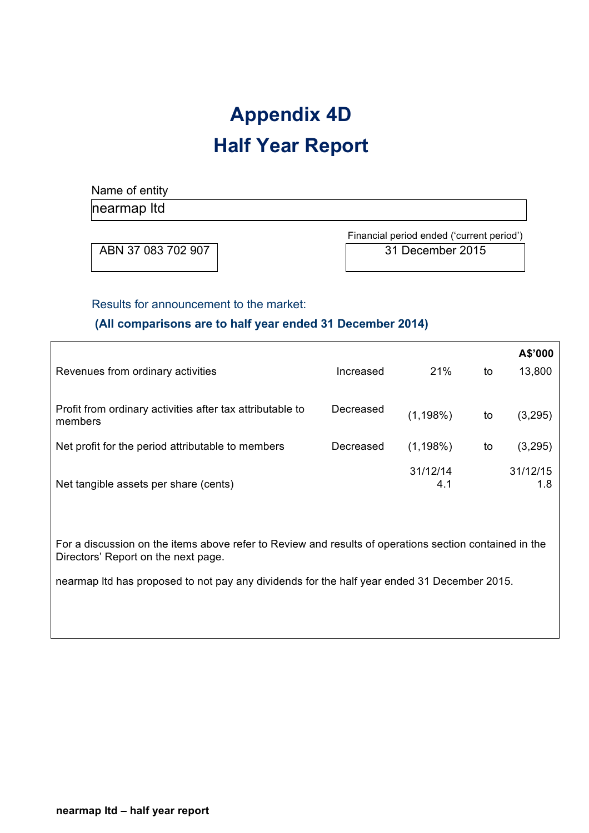# **Appendix 4D Half Year Report**

Name of entity

nearmap ltd

ABN 37 083 702 907 31 December 2015

Financial period ended ('current period')

## Results for announcement to the market:

# **(All comparisons are to half year ended 31 December 2014)**

|                                                                      |           |                 |    | A\$'000         |
|----------------------------------------------------------------------|-----------|-----------------|----|-----------------|
| Revenues from ordinary activities                                    | Increased | 21%             | to | 13,800          |
| Profit from ordinary activities after tax attributable to<br>members | Decreased | $(1, 198\%)$    | to | (3,295)         |
| Net profit for the period attributable to members                    | Decreased | $(1, 198\%)$    | to | (3,295)         |
| Net tangible assets per share (cents)                                |           | 31/12/14<br>4.1 |    | 31/12/15<br>1.8 |

For a discussion on the items above refer to Review and results of operations section contained in the Directors' Report on the next page.

nearmap ltd has proposed to not pay any dividends for the half year ended 31 December 2015.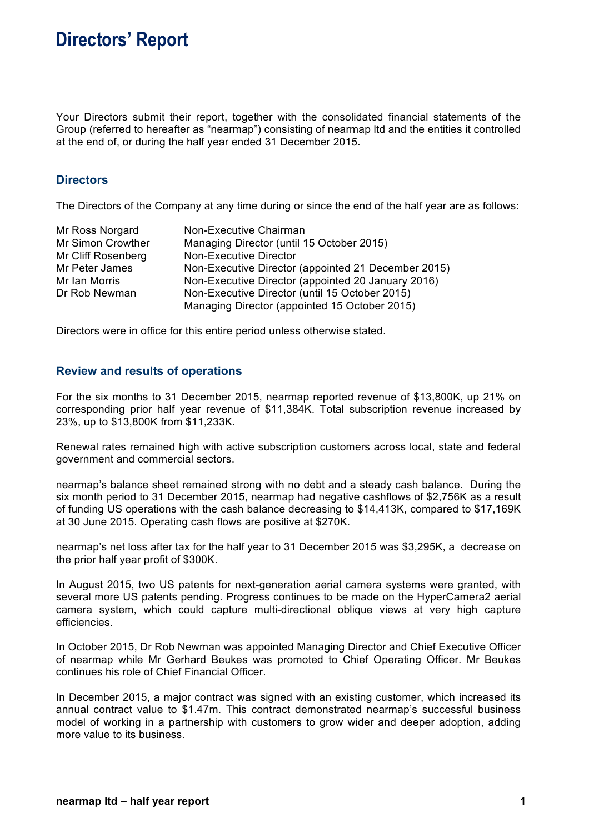# **Directors' Report**

Your Directors submit their report, together with the consolidated financial statements of the Group (referred to hereafter as "nearmap") consisting of nearmap ltd and the entities it controlled at the end of, or during the half year ended 31 December 2015.

## **Directors**

The Directors of the Company at any time during or since the end of the half year are as follows:

| Mr Ross Norgard    | Non-Executive Chairman                              |
|--------------------|-----------------------------------------------------|
| Mr Simon Crowther  | Managing Director (until 15 October 2015)           |
| Mr Cliff Rosenberg | <b>Non-Executive Director</b>                       |
| Mr Peter James     | Non-Executive Director (appointed 21 December 2015) |
| Mr Ian Morris      | Non-Executive Director (appointed 20 January 2016)  |
| Dr Rob Newman      | Non-Executive Director (until 15 October 2015)      |
|                    | Managing Director (appointed 15 October 2015)       |

Directors were in office for this entire period unless otherwise stated.

### **Review and results of operations**

For the six months to 31 December 2015, nearmap reported revenue of \$13,800K, up 21% on corresponding prior half year revenue of \$11,384K. Total subscription revenue increased by 23%, up to \$13,800K from \$11,233K.

Renewal rates remained high with active subscription customers across local, state and federal government and commercial sectors.

nearmap's balance sheet remained strong with no debt and a steady cash balance. During the six month period to 31 December 2015, nearmap had negative cashflows of \$2,756K as a result of funding US operations with the cash balance decreasing to \$14,413K, compared to \$17,169K at 30 June 2015. Operating cash flows are positive at \$270K.

nearmap's net loss after tax for the half year to 31 December 2015 was \$3,295K, a decrease on the prior half year profit of \$300K.

In August 2015, two US patents for next-generation aerial camera systems were granted, with several more US patents pending. Progress continues to be made on the HyperCamera2 aerial camera system, which could capture multi-directional oblique views at very high capture efficiencies.

In October 2015, Dr Rob Newman was appointed Managing Director and Chief Executive Officer of nearmap while Mr Gerhard Beukes was promoted to Chief Operating Officer. Mr Beukes continues his role of Chief Financial Officer.

In December 2015, a major contract was signed with an existing customer, which increased its annual contract value to \$1.47m. This contract demonstrated nearmap's successful business model of working in a partnership with customers to grow wider and deeper adoption, adding more value to its business.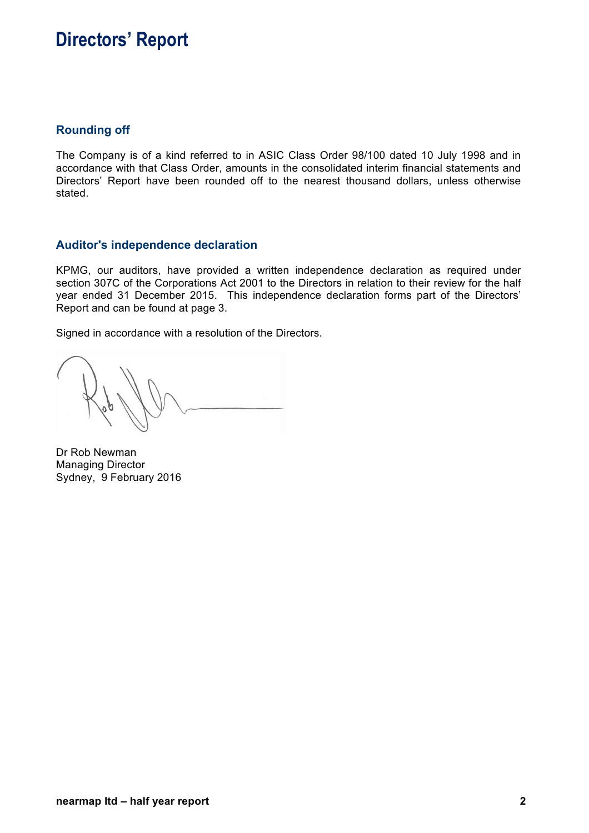# **Directors' Report**

## **Rounding off**

The Company is of a kind referred to in ASIC Class Order 98/100 dated 10 July 1998 and in accordance with that Class Order, amounts in the consolidated interim financial statements and Directors' Report have been rounded off to the nearest thousand dollars, unless otherwise stated.

## **Auditor's independence declaration**

KPMG, our auditors, have provided a written independence declaration as required under section 307C of the Corporations Act 2001 to the Directors in relation to their review for the half year ended 31 December 2015. This independence declaration forms part of the Directors' Report and can be found at page 3.

Signed in accordance with a resolution of the Directors.

Dr Rob Newman Managing Director Sydney, 9 February 2016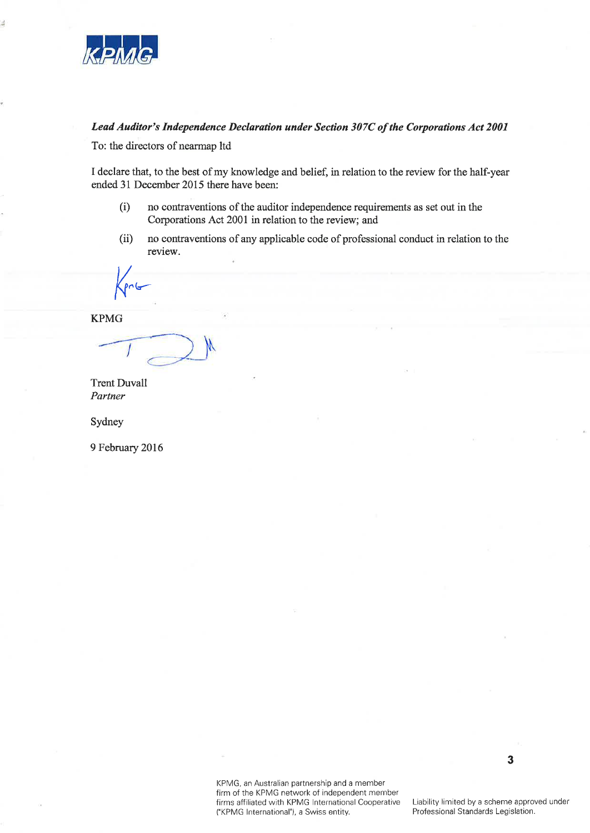

3

### Lead Auditor's Independence Declaration under Section 307C of the Corporations Act 2001

To: the directors of nearmap ltd

I declare that, to the best of my knowledge and belief, in relation to the review for the half-year ended 31 December 2015 there have been:

- $(i)$ no contraventions of the auditor independence requirements as set out in the Corporations Act 2001 in relation to the review; and
- $(ii)$ no contraventions of any applicable code of professional conduct in relation to the review.

**KPMG** 

**Trent Duvall** Partner

Sydney

9 February 2016

KPMG, an Australian partnership and a member firm of the KPMG network of independent member firms affiliated with KPMG International Cooperative ("KPMG International"), a Swiss entity.

Liability limited by a scheme approved under Professional Standards Legislation.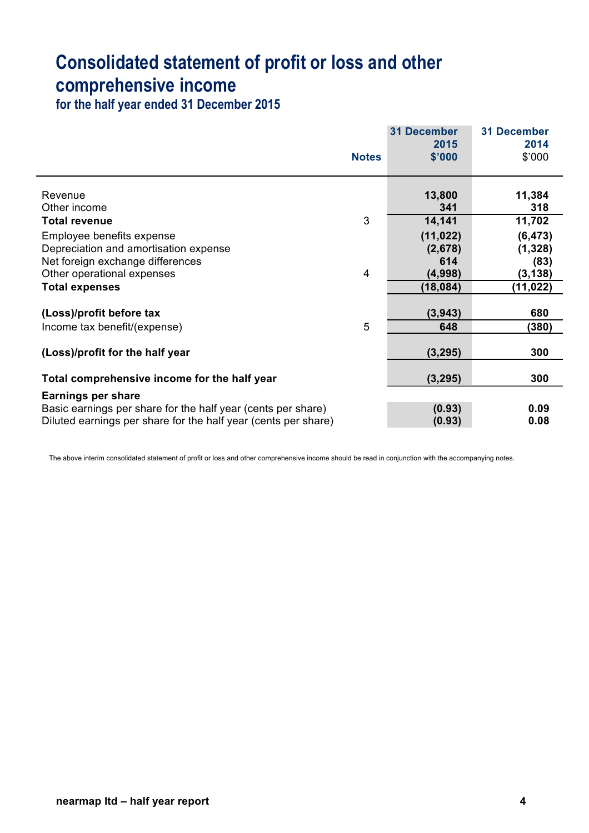# **Consolidated statement of profit or loss and other comprehensive income**

**for the half year ended 31 December 2015**

|                                                                                                                                | <b>Notes</b>   | <b>31 December</b><br>2015<br>\$'000 | <b>31 December</b><br>2014<br>\$'000 |
|--------------------------------------------------------------------------------------------------------------------------------|----------------|--------------------------------------|--------------------------------------|
| Revenue<br>Other income                                                                                                        |                | 13,800<br>341                        | 11,384<br>318                        |
| <b>Total revenue</b>                                                                                                           | 3              | 14,141                               | 11,702                               |
| Employee benefits expense<br>Depreciation and amortisation expense                                                             |                | (11, 022)<br>(2,678)                 | (6, 473)<br>(1, 328)                 |
| Net foreign exchange differences<br>Other operational expenses                                                                 | $\overline{4}$ | 614<br>(4,998)                       | (83)<br>(3, 138)                     |
| <b>Total expenses</b>                                                                                                          |                | (18, 084)                            | (11, 022)                            |
| (Loss)/profit before tax                                                                                                       |                | (3,943)                              | 680                                  |
| Income tax benefit/(expense)                                                                                                   | 5              | 648                                  | (380)                                |
| (Loss)/profit for the half year                                                                                                |                | (3, 295)                             | 300                                  |
| Total comprehensive income for the half year                                                                                   |                | (3, 295)                             | 300                                  |
| <b>Earnings per share</b>                                                                                                      |                |                                      |                                      |
| Basic earnings per share for the half year (cents per share)<br>Diluted earnings per share for the half year (cents per share) |                | (0.93)<br>(0.93)                     | 0.09<br>0.08                         |
|                                                                                                                                |                |                                      |                                      |

The above interim consolidated statement of profit or loss and other comprehensive income should be read in conjunction with the accompanying notes.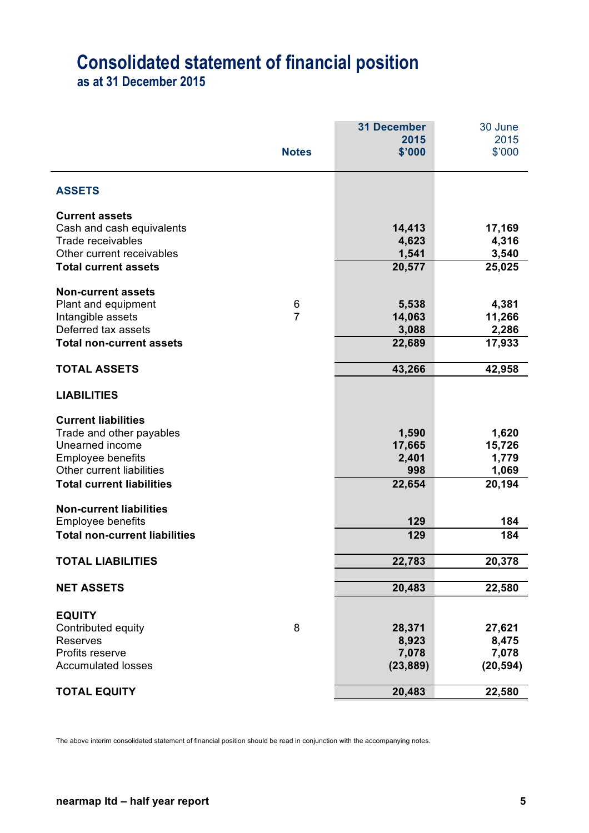# **Consolidated statement of financial position**

**as at 31 December 2015**

|                                                |                                   | <b>31 December</b> | 30 June         |
|------------------------------------------------|-----------------------------------|--------------------|-----------------|
|                                                | <b>Notes</b>                      | 2015<br>\$'000     | 2015<br>\$'000  |
|                                                |                                   |                    |                 |
| <b>ASSETS</b>                                  |                                   |                    |                 |
| <b>Current assets</b>                          |                                   |                    |                 |
| Cash and cash equivalents<br>Trade receivables |                                   | 14,413<br>4,623    | 17,169<br>4,316 |
| Other current receivables                      |                                   | 1,541              | 3,540           |
| <b>Total current assets</b>                    |                                   | 20,577             | 25,025          |
| <b>Non-current assets</b>                      |                                   |                    |                 |
| Plant and equipment<br>Intangible assets       | $6\phantom{1}6$<br>$\overline{7}$ | 5,538<br>14,063    | 4,381<br>11,266 |
| Deferred tax assets                            |                                   | 3,088              | 2,286           |
| <b>Total non-current assets</b>                |                                   | 22,689             | 17,933          |
| <b>TOTAL ASSETS</b>                            |                                   | 43,266             | 42,958          |
| <b>LIABILITIES</b>                             |                                   |                    |                 |
| <b>Current liabilities</b>                     |                                   |                    |                 |
| Trade and other payables                       |                                   | 1,590              | 1,620           |
| Unearned income                                |                                   | 17,665<br>2,401    | 15,726<br>1,779 |
| Employee benefits<br>Other current liabilities |                                   | 998                | 1,069           |
| <b>Total current liabilities</b>               |                                   | 22,654             | 20,194          |
| <b>Non-current liabilities</b>                 |                                   |                    |                 |
| <b>Employee benefits</b>                       |                                   | 129                | 184             |
| <b>Total non-current liabilities</b>           |                                   | 129                | 184             |
| <b>TOTAL LIABILITIES</b>                       |                                   | 22,783             | 20,378          |
| <b>NET ASSETS</b>                              |                                   | 20,483             | 22,580          |
| <b>EQUITY</b>                                  |                                   |                    |                 |
| Contributed equity                             | 8                                 | 28,371             | 27,621          |
| <b>Reserves</b>                                |                                   | 8,923              | 8,475           |
| Profits reserve                                |                                   | 7,078              | 7,078           |
| <b>Accumulated losses</b>                      |                                   | (23, 889)          | (20, 594)       |
| <b>TOTAL EQUITY</b>                            |                                   | 20,483             | 22,580          |

The above interim consolidated statement of financial position should be read in conjunction with the accompanying notes.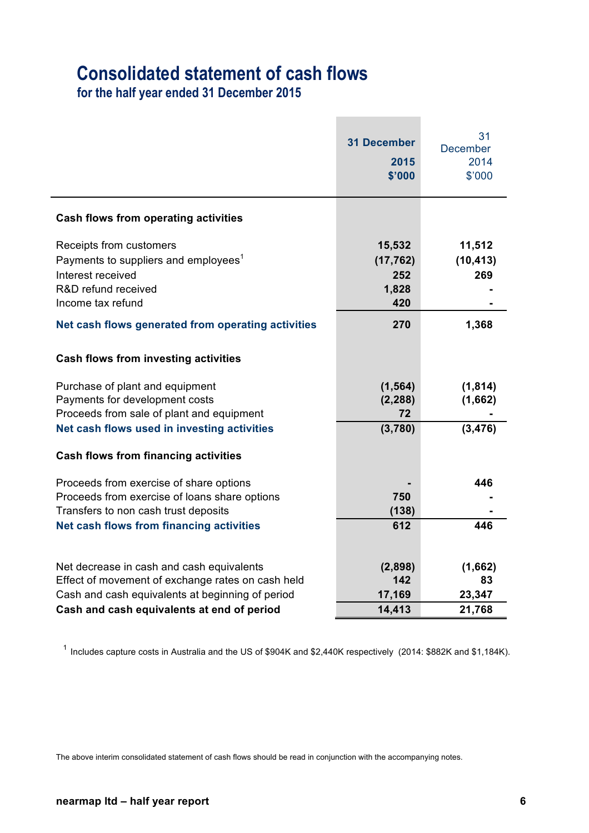# **Consolidated statement of cash flows**

**for the half year ended 31 December 2015**

|                                                                                                                                                                              | <b>31 December</b><br>2015<br>\$'000       | 31<br><b>December</b><br>2014<br>\$'000 |
|------------------------------------------------------------------------------------------------------------------------------------------------------------------------------|--------------------------------------------|-----------------------------------------|
| <b>Cash flows from operating activities</b>                                                                                                                                  |                                            |                                         |
| Receipts from customers<br>Payments to suppliers and employees <sup>1</sup><br>Interest received<br>R&D refund received<br>Income tax refund                                 | 15,532<br>(17, 762)<br>252<br>1,828<br>420 | 11,512<br>(10, 413)<br>269              |
| Net cash flows generated from operating activities                                                                                                                           | 270                                        | 1,368                                   |
| <b>Cash flows from investing activities</b>                                                                                                                                  |                                            |                                         |
| Purchase of plant and equipment<br>Payments for development costs<br>Proceeds from sale of plant and equipment                                                               | (1, 564)<br>(2, 288)<br>72                 | (1, 814)<br>(1,662)                     |
| Net cash flows used in investing activities                                                                                                                                  | (3,780)                                    | (3, 476)                                |
| <b>Cash flows from financing activities</b>                                                                                                                                  |                                            |                                         |
| Proceeds from exercise of share options<br>Proceeds from exercise of loans share options<br>Transfers to non cash trust deposits<br>Net cash flows from financing activities | 750<br>(138)<br>612                        | 446<br>446                              |
|                                                                                                                                                                              |                                            |                                         |
| Net decrease in cash and cash equivalents<br>Effect of movement of exchange rates on cash held<br>Cash and cash equivalents at beginning of period                           | (2,898)<br>142<br>17,169                   | (1,662)<br>83<br>23,347                 |
| Cash and cash equivalents at end of period                                                                                                                                   | 14,413                                     | 21,768                                  |

1 Includes capture costs in Australia and the US of \$904K and \$2,440K respectively (2014: \$882K and \$1,184K).

The above interim consolidated statement of cash flows should be read in conjunction with the accompanying notes.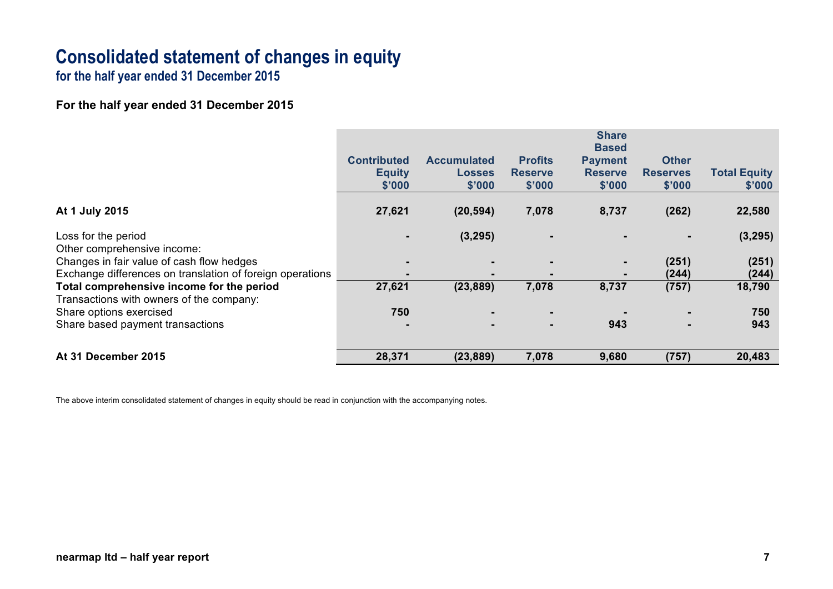# **Consolidated statement of changes in equity**

**for the half year ended 31 December 2015**

## **For the half year ended 31 December 2015**

|                                                           |                    |                    |                | <b>Share</b><br><b>Based</b> |                 |                     |
|-----------------------------------------------------------|--------------------|--------------------|----------------|------------------------------|-----------------|---------------------|
|                                                           | <b>Contributed</b> | <b>Accumulated</b> | <b>Profits</b> | <b>Payment</b>               | <b>Other</b>    |                     |
|                                                           | <b>Equity</b>      | <b>Losses</b>      | <b>Reserve</b> | <b>Reserve</b>               | <b>Reserves</b> | <b>Total Equity</b> |
|                                                           | \$'000             | \$'000             | \$'000         | \$'000                       | \$'000          | \$'000              |
| At 1 July 2015                                            | 27,621             | (20, 594)          | 7,078          | 8,737                        | (262)           | 22,580              |
| Loss for the period                                       |                    | (3,295)            |                |                              |                 | (3, 295)            |
| Other comprehensive income:                               |                    |                    |                |                              |                 |                     |
| Changes in fair value of cash flow hedges                 | $\blacksquare$     |                    |                |                              | (251)           | (251)               |
| Exchange differences on translation of foreign operations | $\blacksquare$     | $\blacksquare$     |                |                              | (244)           | (244)               |
| Total comprehensive income for the period                 | 27,621             | (23, 889)          | 7,078          | 8,737                        | (757)           | 18,790              |
| Transactions with owners of the company:                  |                    |                    |                |                              |                 |                     |
| Share options exercised                                   | 750                |                    |                |                              |                 | 750                 |
| Share based payment transactions                          | -                  | $\blacksquare$     | $\blacksquare$ | 943                          |                 | 943                 |
| At 31 December 2015                                       | 28,371             | (23, 889)          | 7,078          | 9,680                        | (757)           | 20,483              |

The above interim consolidated statement of changes in equity should be read in conjunction with the accompanying notes.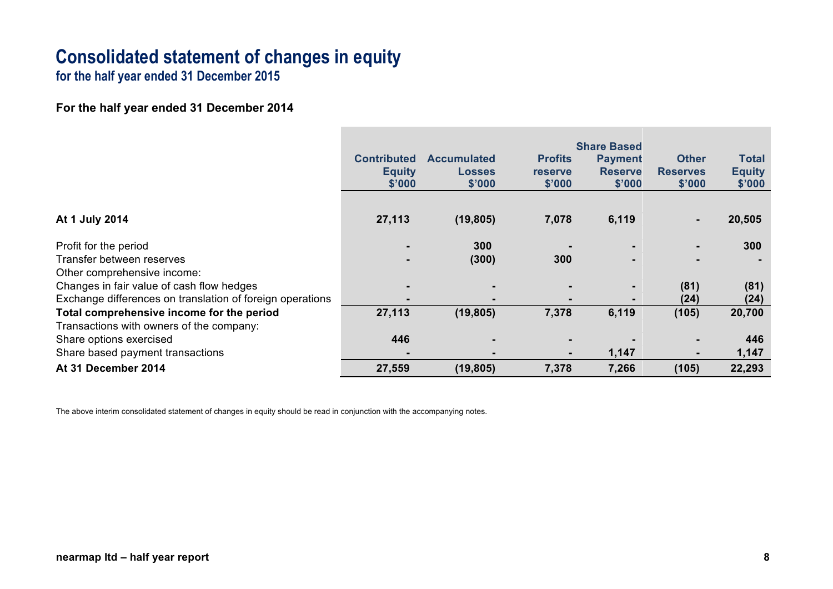# **Consolidated statement of changes in equity**

**for the half year ended 31 December 2015**

**For the half year ended 31 December 2014**

|                                                           | <b>Contributed</b><br><b>Equity</b><br>\$'000 | <b>Accumulated</b><br><b>Losses</b><br>\$'000 | <b>Profits</b><br><b>reserve</b><br>\$'000 | <b>Share Based</b><br><b>Payment</b><br><b>Reserve</b><br>\$'000 | <b>Other</b><br><b>Reserves</b><br>\$'000 | <b>Total</b><br><b>Equity</b><br>\$'000 |
|-----------------------------------------------------------|-----------------------------------------------|-----------------------------------------------|--------------------------------------------|------------------------------------------------------------------|-------------------------------------------|-----------------------------------------|
| At 1 July 2014                                            | 27,113                                        | (19, 805)                                     | 7,078                                      | 6,119                                                            | ۰.                                        | 20,505                                  |
| Profit for the period                                     |                                               | 300                                           |                                            |                                                                  |                                           | 300                                     |
| Transfer between reserves                                 |                                               | (300)                                         | 300                                        |                                                                  | -                                         |                                         |
| Other comprehensive income:                               |                                               |                                               |                                            |                                                                  |                                           |                                         |
| Changes in fair value of cash flow hedges                 | $\blacksquare$                                |                                               |                                            | $\blacksquare$                                                   | (81)                                      | (81)                                    |
| Exchange differences on translation of foreign operations |                                               |                                               |                                            | $\blacksquare$                                                   | (24)                                      | (24)                                    |
| Total comprehensive income for the period                 | 27,113                                        | (19, 805)                                     | 7,378                                      | 6,119                                                            | (105)                                     | 20,700                                  |
| Transactions with owners of the company:                  |                                               |                                               |                                            |                                                                  |                                           |                                         |
| Share options exercised                                   | 446                                           |                                               |                                            |                                                                  |                                           | 446                                     |
| Share based payment transactions                          | $\blacksquare$                                |                                               |                                            | 1,147                                                            | $\blacksquare$                            | 1,147                                   |
| At 31 December 2014                                       | 27,559                                        | (19, 805)                                     | 7,378                                      | 7,266                                                            | (105)                                     | 22,293                                  |

The above interim consolidated statement of changes in equity should be read in conjunction with the accompanying notes.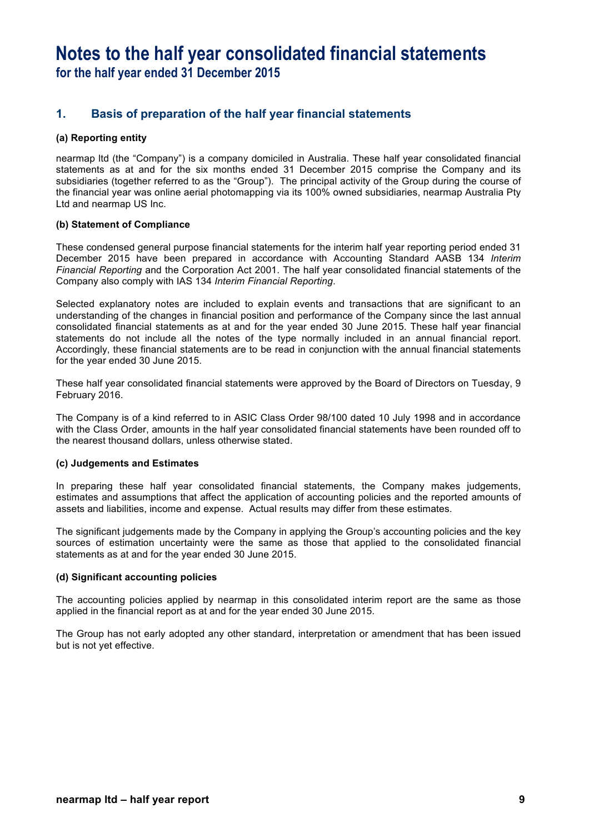## **1. Basis of preparation of the half year financial statements**

### **(a) Reporting entity**

nearmap ltd (the "Company") is a company domiciled in Australia. These half year consolidated financial statements as at and for the six months ended 31 December 2015 comprise the Company and its subsidiaries (together referred to as the "Group"). The principal activity of the Group during the course of the financial year was online aerial photomapping via its 100% owned subsidiaries, nearmap Australia Pty Ltd and nearmap US Inc.

### **(b) Statement of Compliance**

These condensed general purpose financial statements for the interim half year reporting period ended 31 December 2015 have been prepared in accordance with Accounting Standard AASB 134 *Interim Financial Reporting* and the Corporation Act 2001. The half year consolidated financial statements of the Company also comply with IAS 134 *Interim Financial Reporting*.

Selected explanatory notes are included to explain events and transactions that are significant to an understanding of the changes in financial position and performance of the Company since the last annual consolidated financial statements as at and for the year ended 30 June 2015. These half year financial statements do not include all the notes of the type normally included in an annual financial report. Accordingly, these financial statements are to be read in conjunction with the annual financial statements for the year ended 30 June 2015.

These half year consolidated financial statements were approved by the Board of Directors on Tuesday, 9 February 2016.

The Company is of a kind referred to in ASIC Class Order 98/100 dated 10 July 1998 and in accordance with the Class Order, amounts in the half year consolidated financial statements have been rounded off to the nearest thousand dollars, unless otherwise stated.

### **(c) Judgements and Estimates**

In preparing these half year consolidated financial statements, the Company makes judgements, estimates and assumptions that affect the application of accounting policies and the reported amounts of assets and liabilities, income and expense. Actual results may differ from these estimates.

The significant judgements made by the Company in applying the Group's accounting policies and the key sources of estimation uncertainty were the same as those that applied to the consolidated financial statements as at and for the year ended 30 June 2015.

### **(d) Significant accounting policies**

The accounting policies applied by nearmap in this consolidated interim report are the same as those applied in the financial report as at and for the year ended 30 June 2015.

The Group has not early adopted any other standard, interpretation or amendment that has been issued but is not yet effective.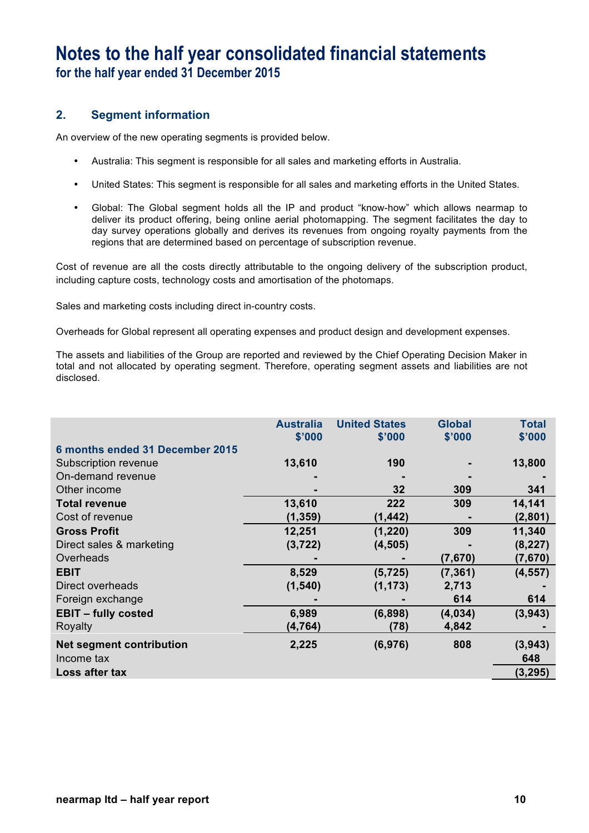## **2. Segment information**

An overview of the new operating segments is provided below.

- Australia: This segment is responsible for all sales and marketing efforts in Australia.
- United States: This segment is responsible for all sales and marketing efforts in the United States.
- Global: The Global segment holds all the IP and product "know-how" which allows nearmap to deliver its product offering, being online aerial photomapping. The segment facilitates the day to day survey operations globally and derives its revenues from ongoing royalty payments from the regions that are determined based on percentage of subscription revenue.

Cost of revenue are all the costs directly attributable to the ongoing delivery of the subscription product, including capture costs, technology costs and amortisation of the photomaps.

Sales and marketing costs including direct in-country costs.

Overheads for Global represent all operating expenses and product design and development expenses.

The assets and liabilities of the Group are reported and reviewed by the Chief Operating Decision Maker in total and not allocated by operating segment. Therefore, operating segment assets and liabilities are not disclosed.

|                                 | <b>Australia</b><br>\$'000 | <b>United States</b><br>\$'000 | <b>Global</b><br>\$'000 | <b>Total</b><br>\$'000 |
|---------------------------------|----------------------------|--------------------------------|-------------------------|------------------------|
| 6 months ended 31 December 2015 |                            |                                |                         |                        |
| Subscription revenue            | 13,610                     | 190                            |                         | 13,800                 |
| On-demand revenue               |                            |                                |                         |                        |
| Other income                    |                            | 32                             | 309                     | 341                    |
| <b>Total revenue</b>            | 13,610                     | 222                            | 309                     | 14,141                 |
| Cost of revenue                 | (1, 359)                   | (1, 442)                       |                         | (2,801)                |
| <b>Gross Profit</b>             | 12,251                     | (1, 220)                       | 309                     | 11,340                 |
| Direct sales & marketing        | (3, 722)                   | (4, 505)                       |                         | (8, 227)               |
| Overheads                       |                            |                                | (7,670)                 | (7,670)                |
| <b>EBIT</b>                     | 8,529                      | (5, 725)                       | (7, 361)                | (4, 557)               |
| Direct overheads                | (1, 540)                   | (1, 173)                       | 2,713                   |                        |
| Foreign exchange                |                            |                                | 614                     | 614                    |
| <b>EBIT - fully costed</b>      | 6,989                      | (6,898)                        | (4,034)                 | (3,943)                |
| Royalty                         | (4, 764)                   | (78)                           | 4,842                   |                        |
| <b>Net segment contribution</b> | 2,225                      | (6,976)                        | 808                     | (3,943)                |
| Income tax                      |                            |                                |                         | 648                    |
| Loss after tax                  |                            |                                |                         | (3, 295)               |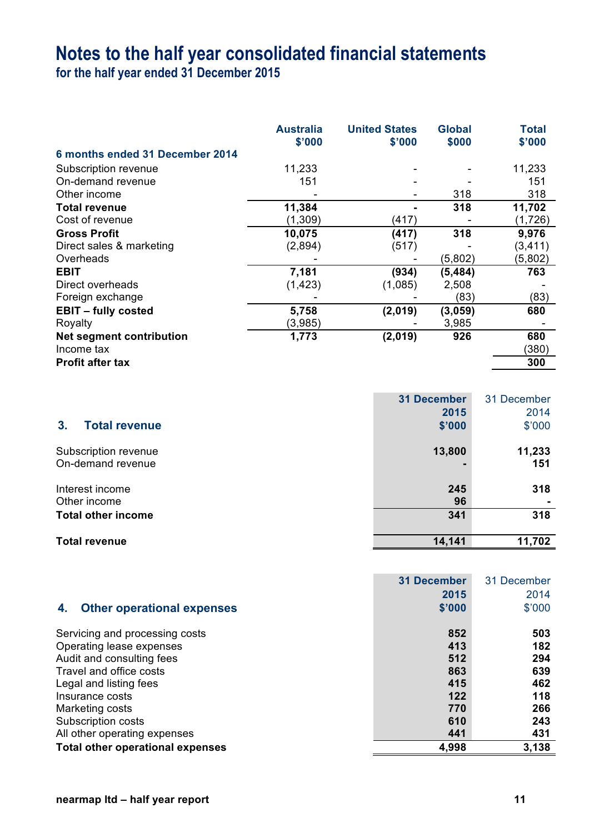# **Notes to the half year consolidated financial statements**

**for the half year ended 31 December 2015**

|                                 | <b>Australia</b><br>\$'000 | <b>United States</b><br>\$'000 | <b>Global</b><br>\$000 | <b>Total</b><br>\$'000 |
|---------------------------------|----------------------------|--------------------------------|------------------------|------------------------|
| 6 months ended 31 December 2014 |                            |                                |                        |                        |
| Subscription revenue            | 11,233                     |                                |                        | 11,233                 |
| On-demand revenue               | 151                        |                                |                        | 151                    |
| Other income                    |                            |                                | 318                    | 318                    |
| <b>Total revenue</b>            | 11,384                     |                                | 318                    | 11,702                 |
| Cost of revenue                 | (1,309)                    | (417)                          |                        | (1,726)                |
| <b>Gross Profit</b>             | 10,075                     | (417)                          | 318                    | 9,976                  |
| Direct sales & marketing        | (2,894)                    | (517)                          |                        | (3, 411)               |
| Overheads                       |                            |                                | (5,802)                | (5,802)                |
| <b>EBIT</b>                     | 7,181                      | (934)                          | (5, 484)               | 763                    |
| Direct overheads                | (1, 423)                   | (1,085)                        | 2,508                  |                        |
| Foreign exchange                |                            |                                | (83)                   | (83)                   |
| <b>EBIT - fully costed</b>      | 5,758                      | (2,019)                        | (3,059)                | 680                    |
| Royalty                         | (3,985)                    |                                | 3,985                  |                        |
| <b>Net segment contribution</b> | 1,773                      | (2,019)                        | 926                    | 680                    |
| Income tax                      |                            |                                |                        | (380)                  |
| <b>Profit after tax</b>         |                            |                                |                        | 300                    |

|                                        | <b>31 December</b> | 31 December |
|----------------------------------------|--------------------|-------------|
|                                        | 2015               | 2014        |
| 3 <sub>1</sub><br><b>Total revenue</b> | \$'000             | \$'000      |
| Subscription revenue                   | 13,800             | 11,233      |
| On-demand revenue                      |                    | 151         |
| Interest income                        | 245                | 318         |
| Other income                           | 96                 |             |
| <b>Total other income</b>              | 341                | 318         |
| <b>Total revenue</b>                   | 14,141             | 11,702      |

| <b>Other operational expenses</b><br>4. | <b>31 December</b><br>2015<br>\$'000 | 31 December<br>2014<br>\$'000 |
|-----------------------------------------|--------------------------------------|-------------------------------|
| Servicing and processing costs          | 852                                  | 503                           |
| Operating lease expenses                | 413                                  | 182                           |
| Audit and consulting fees               | 512                                  | 294                           |
| Travel and office costs                 | 863                                  | 639                           |
| Legal and listing fees                  | 415                                  | 462                           |
| Insurance costs                         | 122                                  | 118                           |
| Marketing costs                         | 770                                  | 266                           |
| Subscription costs                      | 610                                  | 243                           |
| All other operating expenses            | 441                                  | 431                           |
| <b>Total other operational expenses</b> | 4,998                                | 3,138                         |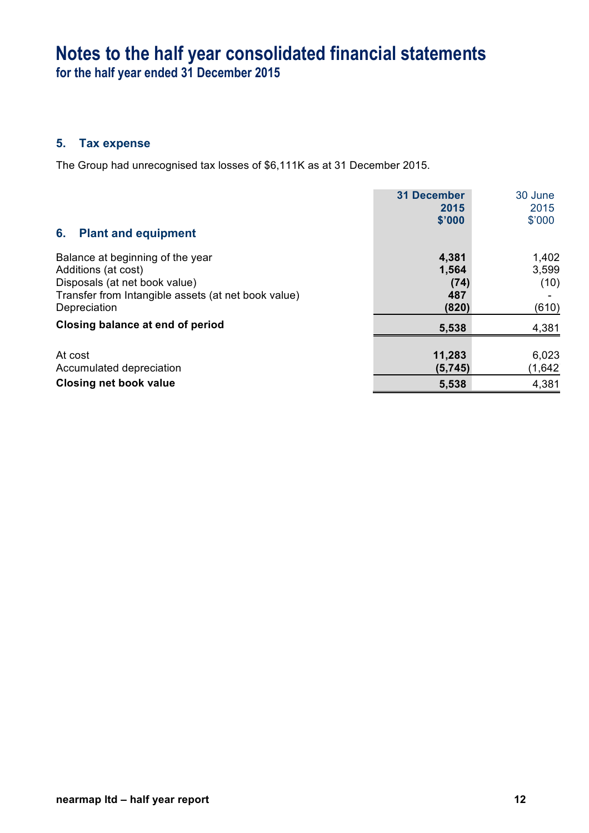# **Notes to the half year consolidated financial statements**

**for the half year ended 31 December 2015**

## **5. Tax expense**

The Group had unrecognised tax losses of \$6,111K as at 31 December 2015.

|                                                     | <b>31 December</b> | 30 June |
|-----------------------------------------------------|--------------------|---------|
|                                                     | 2015               | 2015    |
|                                                     | \$'000             | \$'000  |
| <b>Plant and equipment</b><br>6.                    |                    |         |
| Balance at beginning of the year                    | 4,381              | 1,402   |
| Additions (at cost)                                 | 1,564              | 3,599   |
| Disposals (at net book value)                       | (74)               | (10)    |
| Transfer from Intangible assets (at net book value) | 487                |         |
| Depreciation                                        | (820)              | (610)   |
| Closing balance at end of period                    | 5,538              | 4,381   |
|                                                     |                    |         |
| At cost                                             | 11,283             | 6,023   |
| Accumulated depreciation                            | (5,745)            | (1,642) |
| <b>Closing net book value</b>                       | 5,538              | 4,381   |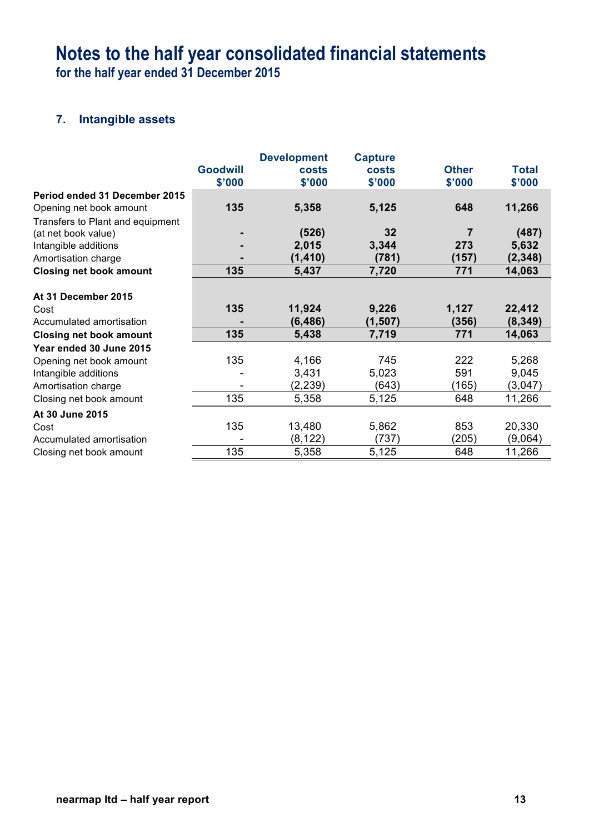# **7. Intangible assets**

|                                  |                 | <b>Development</b> | <b>Capture</b> |              |              |
|----------------------------------|-----------------|--------------------|----------------|--------------|--------------|
|                                  | <b>Goodwill</b> | costs              | costs          | <b>Other</b> | <b>Total</b> |
|                                  | \$'000          | \$'000             | \$'000         | \$'000       | \$'000       |
| Period ended 31 December 2015    |                 |                    |                |              |              |
| Opening net book amount          | 135             | 5,358              | 5,125          | 648          | 11,266       |
| Transfers to Plant and equipment |                 |                    |                |              |              |
| (at net book value)              |                 | (526)              | 32             | 7            | (487)        |
| Intangible additions             |                 | 2,015              | 3,344          | 273          | 5,632        |
| Amortisation charge              |                 | (1, 410)           | (781)          | (157)        | (2, 348)     |
| <b>Closing net book amount</b>   | 135             | 5,437              | 7,720          | 771          | 14,063       |
| At 31 December 2015              |                 |                    |                |              |              |
| Cost                             | 135             | 11,924             | 9,226          | 1,127        | 22,412       |
| Accumulated amortisation         |                 | (6, 486)           | (1, 507)       | (356)        | (8, 349)     |
| <b>Closing net book amount</b>   | 135             | 5,438              | 7,719          | 771          | 14,063       |
| Year ended 30 June 2015          |                 |                    |                |              |              |
| Opening net book amount          | 135             | 4,166              | 745            | 222          | 5,268        |
| Intangible additions             |                 | 3,431              | 5,023          | 591          | 9,045        |
| Amortisation charge              |                 | (2, 239)           | (643)          | (165)        | (3,047)      |
| Closing net book amount          | 135             | 5,358              | 5,125          | 648          | 11,266       |
| At 30 June 2015                  |                 |                    |                |              |              |
| Cost                             | 135             | 13,480             | 5,862          | 853          | 20,330       |
| Accumulated amortisation         |                 | (8, 122)           | (737)          | (205)        | (9,064)      |
| Closing net book amount          | 135             | 5,358              | 5,125          | 648          | 11,266       |
|                                  |                 |                    |                |              |              |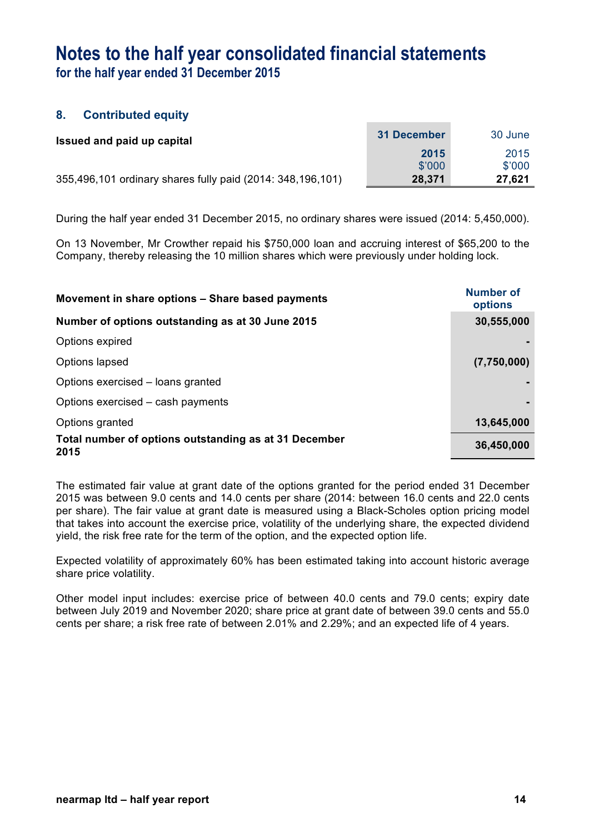## **8. Contributed equity**

| Issued and paid up capital                                 | 31 December | 30 June |
|------------------------------------------------------------|-------------|---------|
|                                                            | 2015        | 2015    |
|                                                            | \$'000      | \$'000  |
| 355,496,101 ordinary shares fully paid (2014: 348,196,101) | 28,371      | 27,621  |

During the half year ended 31 December 2015, no ordinary shares were issued (2014: 5,450,000).

On 13 November, Mr Crowther repaid his \$750,000 loan and accruing interest of \$65,200 to the Company, thereby releasing the 10 million shares which were previously under holding lock.

| Movement in share options - Share based payments              | Number of<br>options |  |
|---------------------------------------------------------------|----------------------|--|
| Number of options outstanding as at 30 June 2015              | 30,555,000           |  |
| Options expired                                               |                      |  |
| Options lapsed                                                | (7,750,000)          |  |
| Options exercised – loans granted                             |                      |  |
| Options exercised – cash payments                             |                      |  |
| Options granted                                               | 13,645,000           |  |
| Total number of options outstanding as at 31 December<br>2015 | 36,450,000           |  |

The estimated fair value at grant date of the options granted for the period ended 31 December 2015 was between 9.0 cents and 14.0 cents per share (2014: between 16.0 cents and 22.0 cents per share). The fair value at grant date is measured using a Black-Scholes option pricing model that takes into account the exercise price, volatility of the underlying share, the expected dividend yield, the risk free rate for the term of the option, and the expected option life.

Expected volatility of approximately 60% has been estimated taking into account historic average share price volatility.

Other model input includes: exercise price of between 40.0 cents and 79.0 cents; expiry date between July 2019 and November 2020; share price at grant date of between 39.0 cents and 55.0 cents per share; a risk free rate of between 2.01% and 2.29%; and an expected life of 4 years.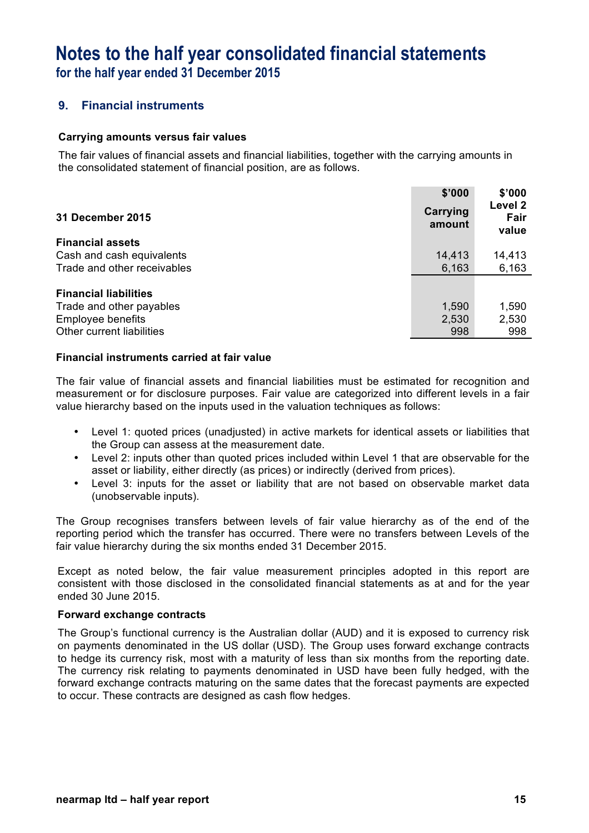## **9. Financial instruments**

### **Carrying amounts versus fair values**

The fair values of financial assets and financial liabilities, together with the carrying amounts in the consolidated statement of financial position, are as follows.

| <b>31 December 2015</b>      | \$'000<br>Carrying<br>amount | \$'000<br>Level 2<br>Fair<br>value |
|------------------------------|------------------------------|------------------------------------|
| <b>Financial assets</b>      |                              |                                    |
| Cash and cash equivalents    | 14,413                       | 14,413                             |
| Trade and other receivables  | 6,163                        | 6,163                              |
| <b>Financial liabilities</b> |                              |                                    |
| Trade and other payables     | 1,590                        | 1,590                              |
| <b>Employee benefits</b>     | 2,530                        | 2,530                              |
| Other current liabilities    | 998                          | 998                                |

### **Financial instruments carried at fair value**

The fair value of financial assets and financial liabilities must be estimated for recognition and measurement or for disclosure purposes. Fair value are categorized into different levels in a fair value hierarchy based on the inputs used in the valuation techniques as follows:

- Level 1: quoted prices (unadjusted) in active markets for identical assets or liabilities that the Group can assess at the measurement date.
- Level 2: inputs other than quoted prices included within Level 1 that are observable for the asset or liability, either directly (as prices) or indirectly (derived from prices).
- Level 3: inputs for the asset or liability that are not based on observable market data (unobservable inputs).

The Group recognises transfers between levels of fair value hierarchy as of the end of the reporting period which the transfer has occurred. There were no transfers between Levels of the fair value hierarchy during the six months ended 31 December 2015.

Except as noted below, the fair value measurement principles adopted in this report are consistent with those disclosed in the consolidated financial statements as at and for the year ended 30 June 2015.

### **Forward exchange contracts**

The Group's functional currency is the Australian dollar (AUD) and it is exposed to currency risk on payments denominated in the US dollar (USD). The Group uses forward exchange contracts to hedge its currency risk, most with a maturity of less than six months from the reporting date. The currency risk relating to payments denominated in USD have been fully hedged, with the forward exchange contracts maturing on the same dates that the forecast payments are expected to occur. These contracts are designed as cash flow hedges.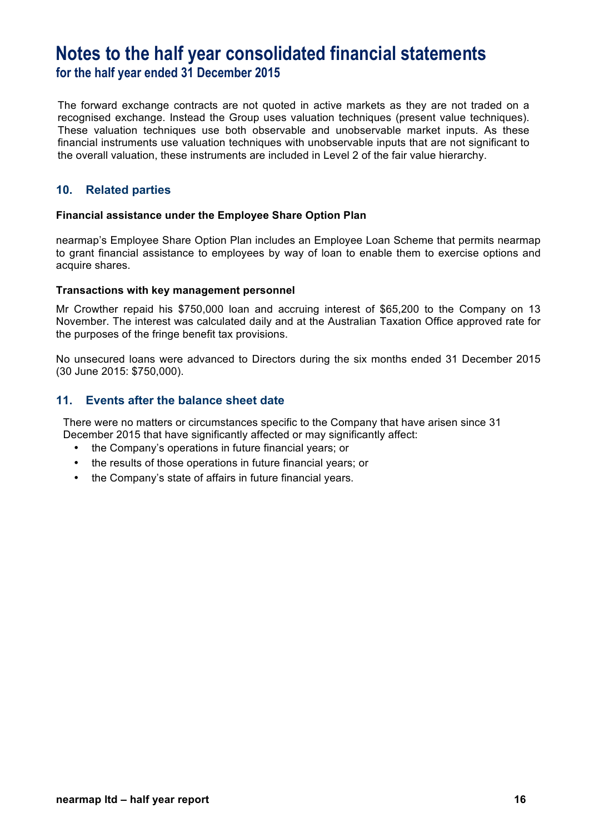The forward exchange contracts are not quoted in active markets as they are not traded on a recognised exchange. Instead the Group uses valuation techniques (present value techniques). These valuation techniques use both observable and unobservable market inputs. As these financial instruments use valuation techniques with unobservable inputs that are not significant to the overall valuation, these instruments are included in Level 2 of the fair value hierarchy.

## **10. Related parties**

### **Financial assistance under the Employee Share Option Plan**

nearmap's Employee Share Option Plan includes an Employee Loan Scheme that permits nearmap to grant financial assistance to employees by way of loan to enable them to exercise options and acquire shares.

### **Transactions with key management personnel**

Mr Crowther repaid his \$750,000 loan and accruing interest of \$65,200 to the Company on 13 November. The interest was calculated daily and at the Australian Taxation Office approved rate for the purposes of the fringe benefit tax provisions.

No unsecured loans were advanced to Directors during the six months ended 31 December 2015 (30 June 2015: \$750,000).

## **11. Events after the balance sheet date**

There were no matters or circumstances specific to the Company that have arisen since 31 December 2015 that have significantly affected or may significantly affect:

- the Company's operations in future financial years; or
- the results of those operations in future financial years; or
- the Company's state of affairs in future financial years.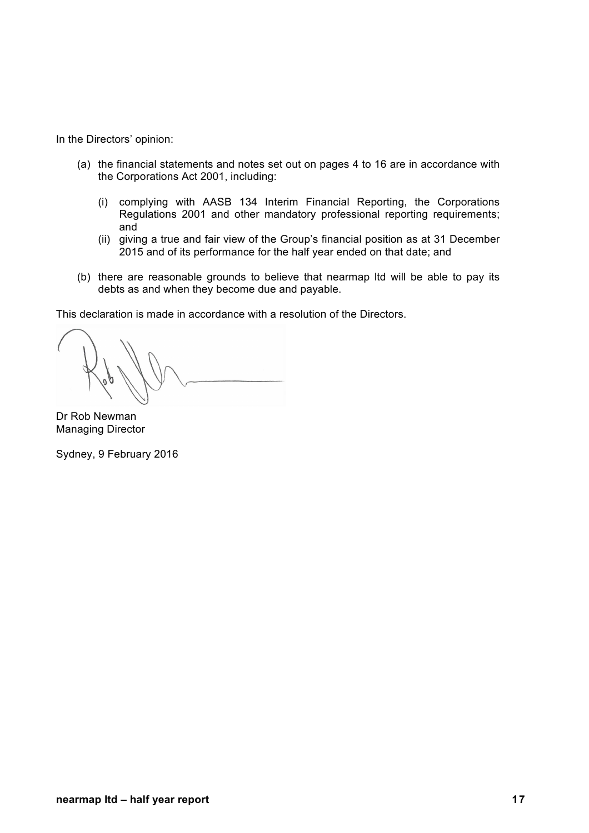In the Directors' opinion:

- (a) the financial statements and notes set out on pages 4 to 16 are in accordance with the Corporations Act 2001, including:
	- (i) complying with AASB 134 Interim Financial Reporting, the Corporations Regulations 2001 and other mandatory professional reporting requirements; and
	- (ii) giving a true and fair view of the Group's financial position as at 31 December 2015 and of its performance for the half year ended on that date; and
- (b) there are reasonable grounds to believe that nearmap ltd will be able to pay its debts as and when they become due and payable.

This declaration is made in accordance with a resolution of the Directors.

Dr Rob Newman Managing Director

Sydney, 9 February 2016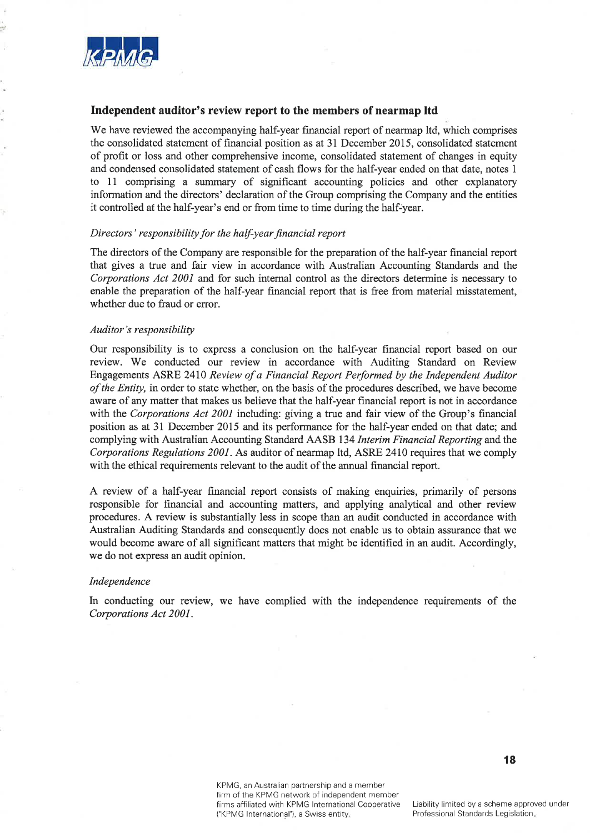

#### Independent auditor's review report to the members of nearmap ltd

We have reviewed the accompanying half-year financial report of nearmap ltd, which comprises the consolidated statement of financial position as at 31 December 2015, consolidated statement of profit or loss and other comprehensive income, consolidated statement of changes in equity and condensed consolidated statement of cash flows for the half-year ended on that date, notes 1 to 11 comprising a summary of significant accounting policies and other explanatory information and the directors' declaration of the Group comprising the Company and the entities it controlled at the half-year's end or from time to time during the half-year.

#### Directors' responsibility for the half-year financial report

The directors of the Company are responsible for the preparation of the half-year financial report that gives a true and fair view in accordance with Australian Accounting Standards and the Corporations Act 2001 and for such internal control as the directors determine is necessary to enable the preparation of the half-year financial report that is free from material misstatement, whether due to fraud or error.

#### Auditor's responsibility

Our responsibility is to express a conclusion on the half-year financial report based on our review. We conducted our review in accordance with Auditing Standard on Review Engagements ASRE 2410 Review of a Financial Report Performed by the Independent Auditor of the Entity, in order to state whether, on the basis of the procedures described, we have become aware of any matter that makes us believe that the half-year financial report is not in accordance with the Corporations Act 2001 including: giving a true and fair view of the Group's financial position as at 31 December 2015 and its performance for the half-year ended on that date; and complying with Australian Accounting Standard AASB 134 Interim Financial Reporting and the Corporations Regulations 2001. As auditor of nearmap ltd, ASRE 2410 requires that we comply with the ethical requirements relevant to the audit of the annual financial report.

A review of a half-year financial report consists of making enquiries, primarily of persons responsible for financial and accounting matters, and applying analytical and other review procedures. A review is substantially less in scope than an audit conducted in accordance with Australian Auditing Standards and consequently does not enable us to obtain assurance that we would become aware of all significant matters that might be identified in an audit. Accordingly, we do not express an audit opinion.

#### Independence

In conducting our review, we have complied with the independence requirements of the Corporations Act 2001.

> KPMG, an Australian partnership and a member firm of the KPMG network of independent member firms affiliated with KPMG International Cooperative ("KPMG International"), a Swiss entity.

Liability limited by a scheme approved under Professional Standards Legislation.